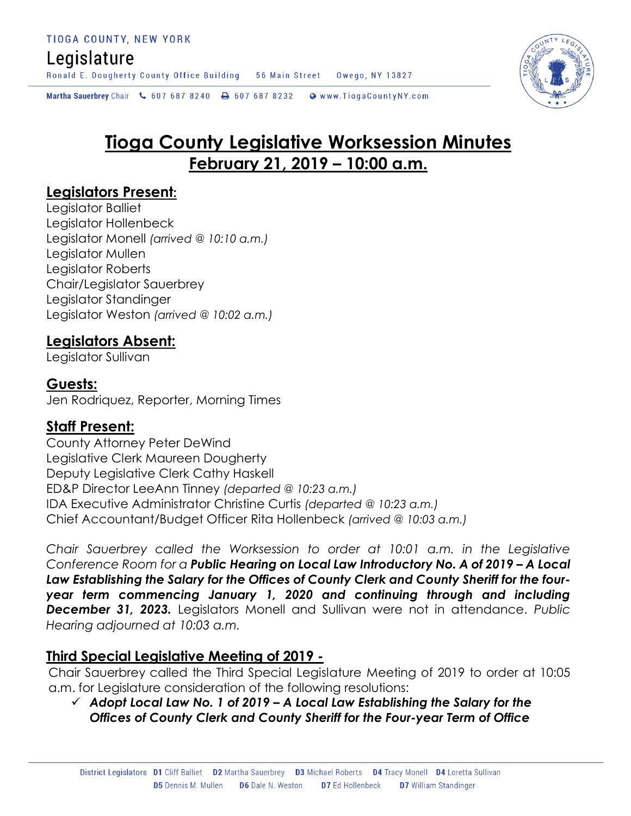## Legislature

Ronald E. Dougherty County Office Building 56 Main Street Owego, NY 13827

Martha Sauerbrey Chair & 607 687 8240 **a** 607 687 8232 Www.TiogaCountyNY.com

# **Tioga County Legislative Worksession Minutes February 21, 2019 – 10:00 a.m.**

## **Legislators Present:**

Legislator Balliet Legislator Hollenbeck Legislator Monell *(arrived @ 10:10 a.m.)* Legislator Mullen Legislator Roberts Chair/Legislator Sauerbrey Legislator Standinger Legislator Weston *(arrived @ 10:02 a.m.)*

## **Legislators Absent:**

Legislator Sullivan

## **Guests:**

Jen Rodriquez, Reporter, Morning Times

## **Staff Present:**

County Attorney Peter DeWind Legislative Clerk Maureen Dougherty Deputy Legislative Clerk Cathy Haskell ED&P Director LeeAnn Tinney *(departed @ 10:23 a.m.)* IDA Executive Administrator Christine Curtis *(departed @ 10:23 a.m.)* Chief Accountant/Budget Officer Rita Hollenbeck *(arrived @ 10:03 a.m.)*

*Chair Sauerbrey called the Worksession to order at 10:01 a.m. in the Legislative Conference Room for a Public Hearing on Local Law Introductory No. A of 2019 – A Local Law Establishing the Salary for the Offices of County Clerk and County Sheriff for the fouryear term commencing January 1, 2020 and continuing through and including December 31, 2023.* Legislators Monell and Sullivan were not in attendance. *Public Hearing adjourned at 10:03 a.m.* 

#### **Third Special Legislative Meeting of 2019 -**

Chair Sauerbrey called the Third Special Legislature Meeting of 2019 to order at 10:05 a.m. for Legislature consideration of the following resolutions:

 *Adopt Local Law No. 1 of 2019 – A Local Law Establishing the Salary for the Offices of County Clerk and County Sheriff for the Four-year Term of Office* 

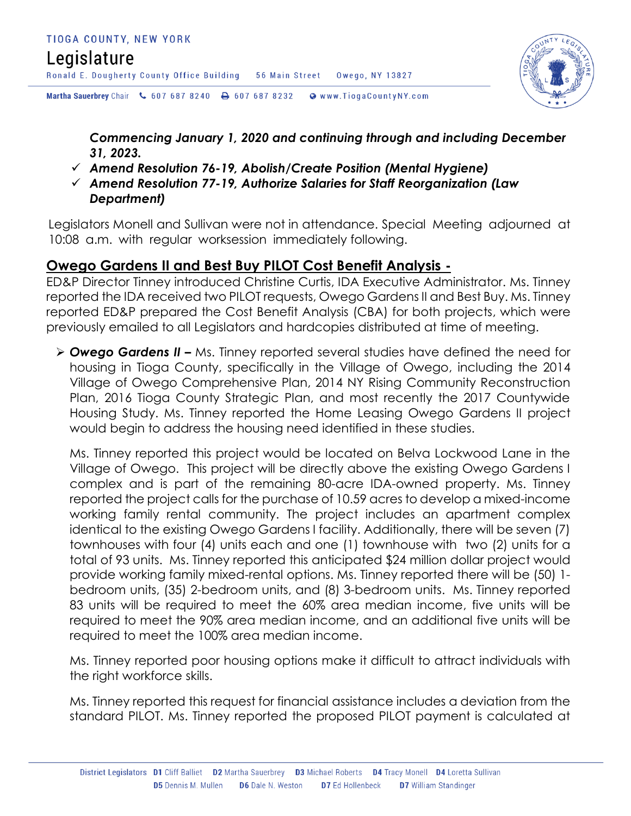## Legislature

Ronald E. Dougherty County Office Building 56 Main Street Owego, NY 13827

Martha Sauerbrey Chair & 607 687 8240 <a>B</a>607 687 8232 <a>B</a>Www.TiogaCountyNY.com

*Commencing January 1, 2020 and continuing through and including December 31, 2023.*

- *Amend Resolution 76-19, Abolish/Create Position (Mental Hygiene)*
- *Amend Resolution 77-19, Authorize Salaries for Staff Reorganization (Law Department)*

Legislators Monell and Sullivan were not in attendance. Special Meeting adjourned at 10:08 a.m. with regular worksession immediately following.

## **Owego Gardens II and Best Buy PILOT Cost Benefit Analysis -**

ED&P Director Tinney introduced Christine Curtis, IDA Executive Administrator. Ms. Tinney reported the IDA received two PILOT requests, Owego Gardens II and Best Buy. Ms. Tinney reported ED&P prepared the Cost Benefit Analysis (CBA) for both projects, which were previously emailed to all Legislators and hardcopies distributed at time of meeting.

 *Owego Gardens II –* Ms. Tinney reported several studies have defined the need for housing in Tioga County, specifically in the Village of Owego, including the 2014 Village of Owego Comprehensive Plan, 2014 NY Rising Community Reconstruction Plan, 2016 Tioga County Strategic Plan, and most recently the 2017 Countywide Housing Study. Ms. Tinney reported the Home Leasing Owego Gardens II project would begin to address the housing need identified in these studies.

Ms. Tinney reported this project would be located on Belva Lockwood Lane in the Village of Owego. This project will be directly above the existing Owego Gardens I complex and is part of the remaining 80-acre IDA-owned property. Ms. Tinney reported the project calls for the purchase of 10.59 acres to develop a mixed-income working family rental community. The project includes an apartment complex identical to the existing Owego Gardens I facility. Additionally, there will be seven (7) townhouses with four (4) units each and one (1) townhouse with two (2) units for a total of 93 units. Ms. Tinney reported this anticipated \$24 million dollar project would provide working family mixed-rental options. Ms. Tinney reported there will be (50) 1 bedroom units, (35) 2-bedroom units, and (8) 3-bedroom units. Ms. Tinney reported 83 units will be required to meet the 60% area median income, five units will be required to meet the 90% area median income, and an additional five units will be required to meet the 100% area median income.

Ms. Tinney reported poor housing options make it difficult to attract individuals with the right workforce skills.

Ms. Tinney reported this request for financial assistance includes a deviation from the standard PILOT. Ms. Tinney reported the proposed PILOT payment is calculated at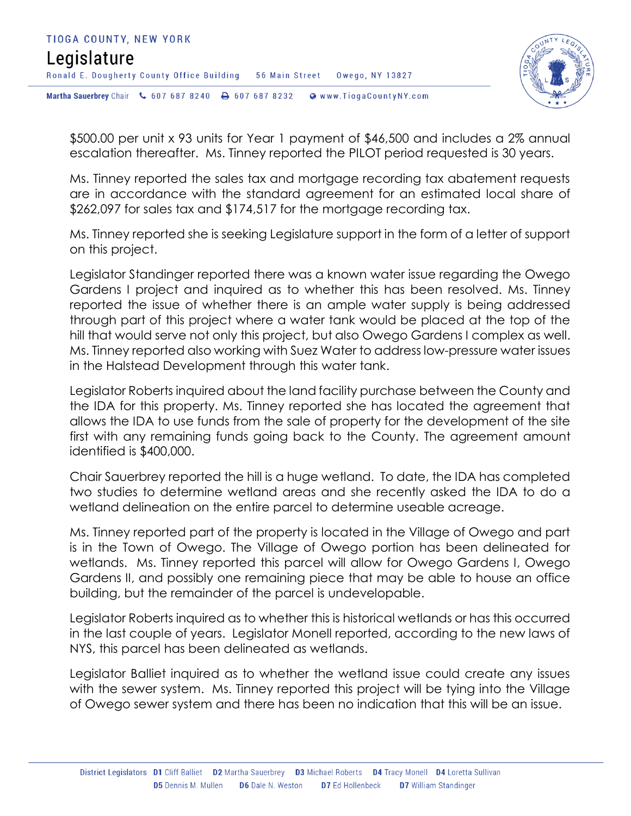

\$500.00 per unit x 93 units for Year 1 payment of \$46,500 and includes a 2% annual escalation thereafter. Ms. Tinney reported the PILOT period requested is 30 years.

Ms. Tinney reported the sales tax and mortgage recording tax abatement requests are in accordance with the standard agreement for an estimated local share of \$262,097 for sales tax and \$174,517 for the mortgage recording tax.

Ms. Tinney reported she is seeking Legislature support in the form of a letter of support on this project.

Legislator Standinger reported there was a known water issue regarding the Owego Gardens I project and inquired as to whether this has been resolved. Ms. Tinney reported the issue of whether there is an ample water supply is being addressed through part of this project where a water tank would be placed at the top of the hill that would serve not only this project, but also Owego Gardens I complex as well. Ms. Tinney reported also working with Suez Water to address low-pressure water issues in the Halstead Development through this water tank.

Legislator Roberts inquired about the land facility purchase between the County and the IDA for this property. Ms. Tinney reported she has located the agreement that allows the IDA to use funds from the sale of property for the development of the site first with any remaining funds going back to the County. The agreement amount identified is \$400,000.

Chair Sauerbrey reported the hill is a huge wetland. To date, the IDA has completed two studies to determine wetland areas and she recently asked the IDA to do a wetland delineation on the entire parcel to determine useable acreage.

Ms. Tinney reported part of the property is located in the Village of Owego and part is in the Town of Owego. The Village of Owego portion has been delineated for wetlands. Ms. Tinney reported this parcel will allow for Owego Gardens I, Owego Gardens II, and possibly one remaining piece that may be able to house an office building, but the remainder of the parcel is undevelopable.

Legislator Roberts inquired as to whether this is historical wetlands or has this occurred in the last couple of years. Legislator Monell reported, according to the new laws of NYS, this parcel has been delineated as wetlands.

Legislator Balliet inquired as to whether the wetland issue could create any issues with the sewer system. Ms. Tinney reported this project will be tying into the Village of Owego sewer system and there has been no indication that this will be an issue.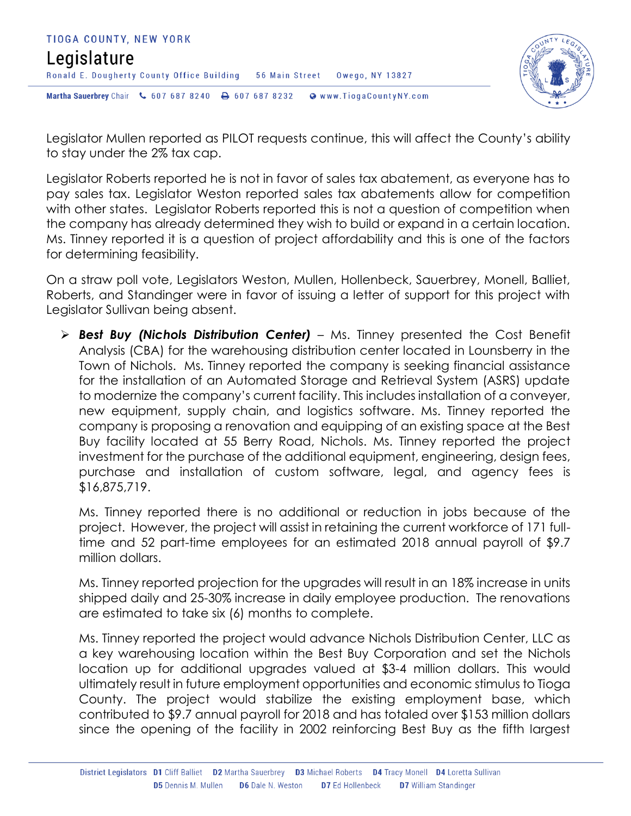



Legislator Mullen reported as PILOT requests continue, this will affect the County's ability to stay under the 2% tax cap.

Legislator Roberts reported he is not in favor of sales tax abatement, as everyone has to pay sales tax. Legislator Weston reported sales tax abatements allow for competition with other states. Legislator Roberts reported this is not a question of competition when the company has already determined they wish to build or expand in a certain location. Ms. Tinney reported it is a question of project affordability and this is one of the factors for determining feasibility.

On a straw poll vote, Legislators Weston, Mullen, Hollenbeck, Sauerbrey, Monell, Balliet, Roberts, and Standinger were in favor of issuing a letter of support for this project with Legislator Sullivan being absent.

 *Best Buy (Nichols Distribution Center)* – Ms. Tinney presented the Cost Benefit Analysis (CBA) for the warehousing distribution center located in Lounsberry in the Town of Nichols. Ms. Tinney reported the company is seeking financial assistance for the installation of an Automated Storage and Retrieval System (ASRS) update to modernize the company's current facility. This includes installation of a conveyer, new equipment, supply chain, and logistics software. Ms. Tinney reported the company is proposing a renovation and equipping of an existing space at the Best Buy facility located at 55 Berry Road, Nichols. Ms. Tinney reported the project investment for the purchase of the additional equipment, engineering, design fees, purchase and installation of custom software, legal, and agency fees is \$16,875,719.

Ms. Tinney reported there is no additional or reduction in jobs because of the project. However, the project will assist in retaining the current workforce of 171 fulltime and 52 part-time employees for an estimated 2018 annual payroll of \$9.7 million dollars.

Ms. Tinney reported projection for the upgrades will result in an 18% increase in units shipped daily and 25-30% increase in daily employee production. The renovations are estimated to take six (6) months to complete.

Ms. Tinney reported the project would advance Nichols Distribution Center, LLC as a key warehousing location within the Best Buy Corporation and set the Nichols location up for additional upgrades valued at \$3-4 million dollars. This would ultimately result in future employment opportunities and economic stimulus to Tioga County. The project would stabilize the existing employment base, which contributed to \$9.7 annual payroll for 2018 and has totaled over \$153 million dollars since the opening of the facility in 2002 reinforcing Best Buy as the fifth largest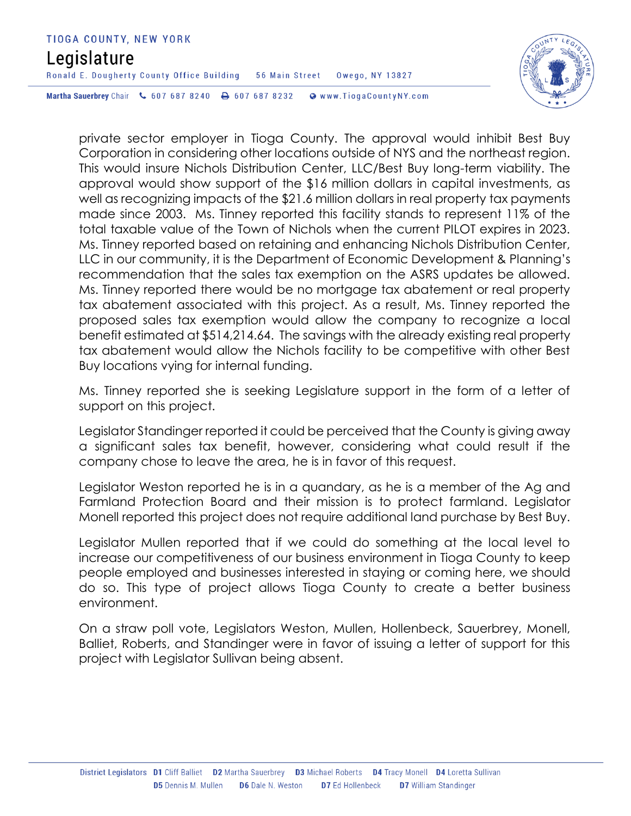## TIOGA COUNTY, NEW YORK Legislature Ronald E. Dougherty County Office Building 56 Main Street Owego, NY 13827 Martha Sauerbrey Chair & 607 687 8240 <a>B</a>607 687 8232 <a>B</a>Www.TiogaCountyNY.com



private sector employer in Tioga County. The approval would inhibit Best Buy Corporation in considering other locations outside of NYS and the northeast region. This would insure Nichols Distribution Center, LLC/Best Buy long-term viability. The approval would show support of the \$16 million dollars in capital investments, as well as recognizing impacts of the \$21.6 million dollars in real property tax payments made since 2003. Ms. Tinney reported this facility stands to represent 11% of the total taxable value of the Town of Nichols when the current PILOT expires in 2023. Ms. Tinney reported based on retaining and enhancing Nichols Distribution Center, LLC in our community, it is the Department of Economic Development & Planning's recommendation that the sales tax exemption on the ASRS updates be allowed. Ms. Tinney reported there would be no mortgage tax abatement or real property tax abatement associated with this project. As a result, Ms. Tinney reported the proposed sales tax exemption would allow the company to recognize a local benefit estimated at \$514,214.64. The savings with the already existing real property tax abatement would allow the Nichols facility to be competitive with other Best Buy locations vying for internal funding.

Ms. Tinney reported she is seeking Legislature support in the form of a letter of support on this project.

Legislator Standinger reported it could be perceived that the County is giving away a significant sales tax benefit, however, considering what could result if the company chose to leave the area, he is in favor of this request.

Legislator Weston reported he is in a quandary, as he is a member of the Ag and Farmland Protection Board and their mission is to protect farmland. Legislator Monell reported this project does not require additional land purchase by Best Buy.

Legislator Mullen reported that if we could do something at the local level to increase our competitiveness of our business environment in Tioga County to keep people employed and businesses interested in staying or coming here, we should do so. This type of project allows Tioga County to create a better business environment.

On a straw poll vote, Legislators Weston, Mullen, Hollenbeck, Sauerbrey, Monell, Balliet, Roberts, and Standinger were in favor of issuing a letter of support for this project with Legislator Sullivan being absent.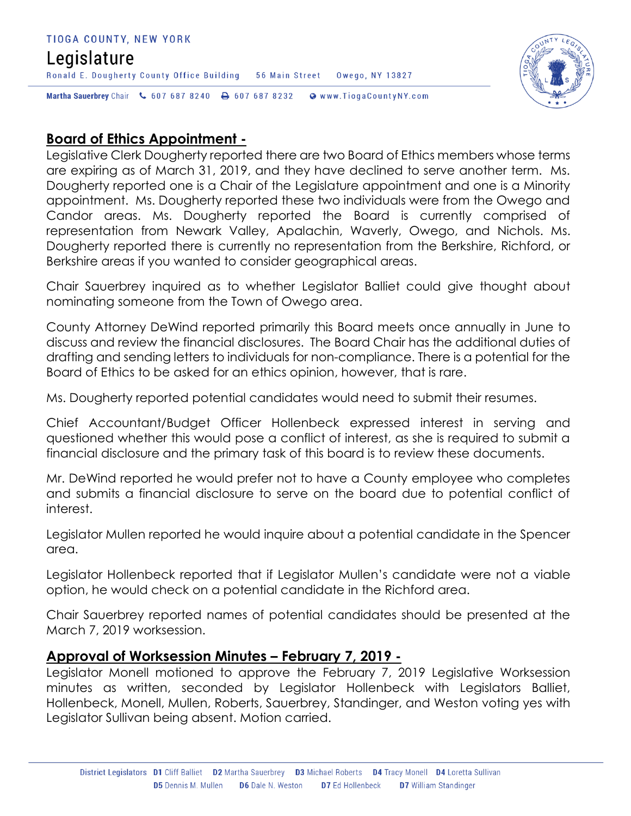#### TIOGA COUNTY, NEW YORK Legislature Ronald E. Dougherty County Office Building 56 Main Street Owego, NY 13827 Martha Sauerbrey Chair & 607 687 8240 & 607 687 8232 Www.TiogaCountyNY.com



## **Board of Ethics Appointment -**

Legislative Clerk Dougherty reported there are two Board of Ethics members whose terms are expiring as of March 31, 2019, and they have declined to serve another term. Ms. Dougherty reported one is a Chair of the Legislature appointment and one is a Minority appointment. Ms. Dougherty reported these two individuals were from the Owego and Candor areas. Ms. Dougherty reported the Board is currently comprised of representation from Newark Valley, Apalachin, Waverly, Owego, and Nichols. Ms. Dougherty reported there is currently no representation from the Berkshire, Richford, or Berkshire areas if you wanted to consider geographical areas.

Chair Sauerbrey inquired as to whether Legislator Balliet could give thought about nominating someone from the Town of Owego area.

County Attorney DeWind reported primarily this Board meets once annually in June to discuss and review the financial disclosures. The Board Chair has the additional duties of drafting and sending letters to individuals for non-compliance. There is a potential for the Board of Ethics to be asked for an ethics opinion, however, that is rare.

Ms. Dougherty reported potential candidates would need to submit their resumes.

Chief Accountant/Budget Officer Hollenbeck expressed interest in serving and questioned whether this would pose a conflict of interest, as she is required to submit a financial disclosure and the primary task of this board is to review these documents.

Mr. DeWind reported he would prefer not to have a County employee who completes and submits a financial disclosure to serve on the board due to potential conflict of interest.

Legislator Mullen reported he would inquire about a potential candidate in the Spencer area.

Legislator Hollenbeck reported that if Legislator Mullen's candidate were not a viable option, he would check on a potential candidate in the Richford area.

Chair Sauerbrey reported names of potential candidates should be presented at the March 7, 2019 worksession.

## **Approval of Worksession Minutes – February 7, 2019 -**

Legislator Monell motioned to approve the February 7, 2019 Legislative Worksession minutes as written, seconded by Legislator Hollenbeck with Legislators Balliet, Hollenbeck, Monell, Mullen, Roberts, Sauerbrey, Standinger, and Weston voting yes with Legislator Sullivan being absent. Motion carried.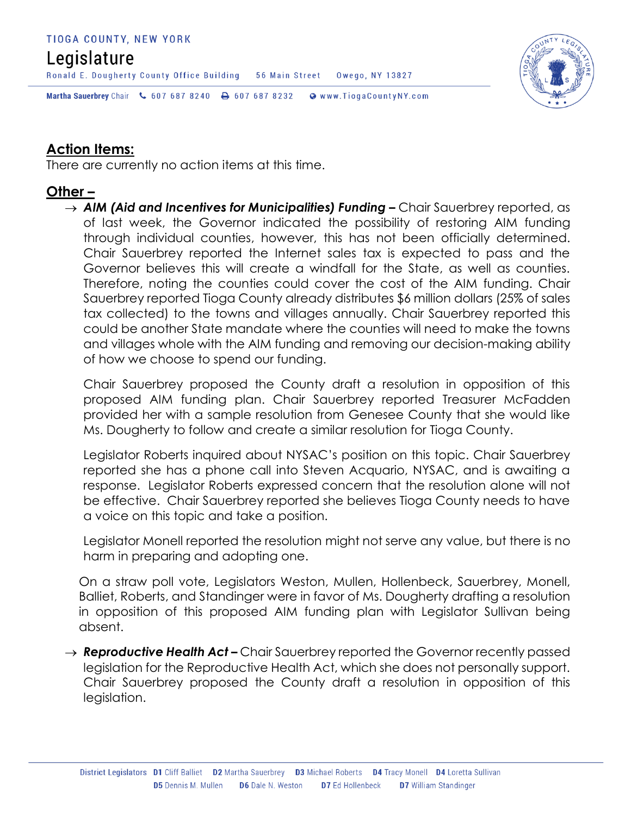#### TIOGA COUNTY, NEW YORK

## Legislature

Ronald E. Dougherty County Office Building 56 Main Street Owego, NY 13827



Martha Sauerbrey Chair & 607 687 8240 <a>B</a>607 687 8232 <a>B</a>Www.TiogaCountyNY.com

## **Action Items:**

There are currently no action items at this time.

## **Other –**

→ **AIM (Aid and Incentives for Municipalities) Funding –** Chair Sauerbrey reported, as of last week, the Governor indicated the possibility of restoring AIM funding through individual counties, however, this has not been officially determined. Chair Sauerbrey reported the Internet sales tax is expected to pass and the Governor believes this will create a windfall for the State, as well as counties. Therefore, noting the counties could cover the cost of the AIM funding. Chair Sauerbrey reported Tioga County already distributes \$6 million dollars (25% of sales tax collected) to the towns and villages annually. Chair Sauerbrey reported this could be another State mandate where the counties will need to make the towns and villages whole with the AIM funding and removing our decision-making ability of how we choose to spend our funding.

Chair Sauerbrey proposed the County draft a resolution in opposition of this proposed AIM funding plan. Chair Sauerbrey reported Treasurer McFadden provided her with a sample resolution from Genesee County that she would like Ms. Dougherty to follow and create a similar resolution for Tioga County.

Legislator Roberts inquired about NYSAC's position on this topic. Chair Sauerbrey reported she has a phone call into Steven Acquario, NYSAC, and is awaiting a response. Legislator Roberts expressed concern that the resolution alone will not be effective. Chair Sauerbrey reported she believes Tioga County needs to have a voice on this topic and take a position.

Legislator Monell reported the resolution might not serve any value, but there is no harm in preparing and adopting one.

On a straw poll vote, Legislators Weston, Mullen, Hollenbeck, Sauerbrey, Monell, Balliet, Roberts, and Standinger were in favor of Ms. Dougherty drafting a resolution in opposition of this proposed AIM funding plan with Legislator Sullivan being absent.

→ **Reproductive Health Act –** Chair Sauerbrey reported the Governor recently passed legislation for the Reproductive Health Act, which she does not personally support. Chair Sauerbrey proposed the County draft a resolution in opposition of this legislation.